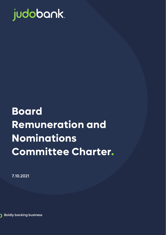

# **Board Remuneration and Nominations Committee Charter.**

7.10.2021

**Boldly backing business** 

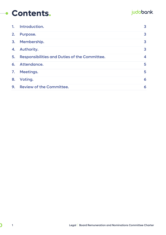#### **Contents.** $\overline{\phantom{a}}$

#### judobank.

| 1. | Introduction.                                        | 3                       |
|----|------------------------------------------------------|-------------------------|
| 2. | Purpose.                                             | 3                       |
| 3. | Membership.                                          | 3                       |
| 4. | Authority.                                           | $\overline{\mathbf{3}}$ |
| 5. | <b>Responsibilities and Duties of the Committee.</b> | 4                       |
| 6. | Attendance.                                          | 5                       |
|    | 7. Meetings.                                         | 5                       |
| 8. | Voting.                                              | 6                       |
| 9. | <b>Review of the Committee.</b>                      | 6                       |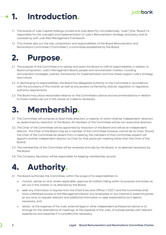#### judobank.

### <span id="page-2-0"></span>**1. Introduction.**

- 1.1 The boards of Judo Capital Holdings Limited and Judo Bank Pty Ltd (collectively "Judo") (the "Board") is responsible for the oversight and implementation of Judo's Remuneration strategy and policy and its consistency with Judo Risk Management Framework
- 1.2 This charter sets out the role, composition and responsibilities of the Board Remuneration and Nominations Committee ("Committee"), a committee established by the Board.

#### <span id="page-2-1"></span>**2. Purpose.**

- 2.1 The purpose of the Committee is to advise and assist the Board to fulfil its responsibilities in relation to Board composition, Judo's Management Board, people and remuneration matters, including remuneration strategies, policies, frameworks for implementation and how these support Judo's strategy and culture.
- 2.2 In discharging its responsibilities, the Board has delegated authority to the Committee in accordance with the provisions of this charter as well as any powers conferred by statute, regulation or regulatory authority requirements.
- 2.3 The Board may place reasonable reliance on the Committee's advice and recommendations in relation to those matters set out in this clause as it deems necessary.

#### <span id="page-2-2"></span>**3. Membership.**

- 3.1 The Committee will comprise at least three directors, a majority of whom shall be 'independent' directors as determined by resolution of the Board. All members of the Committee will be non-executive directors.
- 3.2 The Chair of the Committee will be appointed by resolution of the Board and will be an independent director. The Chair of the Board may be a member of the Committee however cannot be its Chair. Should the Chair of the Committee be absent from a meeting, the members of that Committee present will appoint another independent director as Chair for that particular meeting (other than the Chair of the Board).
- 3.3 The membership of the Committee will be reviewed annually by the Board, or as deemed necessary by the Board.
- 3.4 The Company Secretary will be responsible for keeping membership records.

### <span id="page-2-3"></span>**4. Authority.**

- 4.1 The Board authorises the Committee, within the scope of its responsibilities to:
	- a. monitor, advise on and, where applicable, approve all matters falling within its purpose and duties as set out in this charter or as directed by the Board;
	- b. seek any information it requires from the Chief Executive Officer ("CEO") and the Committee shall have unfettered access to the Management Board, any employees or any internal or external parties at any time, to request relevant and additional information or seek explanations as it deems necessary; and
	- c. obtain, at the expense of the Judo, external legal or other independent professional advice or to arrange for the attendance at meetings, at the expense of the Judo, of outside parties with relevant experience and expertise if it considers this necessary.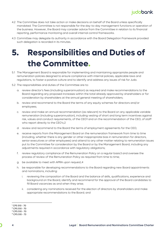

- 4.2 The Committee does not take action or make decisions on behalf of the Board unless specifically mandated. The Committee is not responsible for the day-to-day management functions or operation of the business. However, the Board may consider advice from the Committee in relation to its financial reporting, performance monitoring and overall internal control frameworks.
- 4.3 Committee may delegate its authority in accordance with the Board Delegation Framework provided such delegation is recorded in its minutes.

## <span id="page-3-0"></span>**5. Responsibilities and Duties of the Committee.**

- 5.1 The Management Board is responsible for implementing and maintaining appropriate people and remuneration policies designed to ensure compliance with internal policies, applicable laws and regulations, to foster a positive culture and to identify and address any issues of risk for Judo.
- 5.2 The responsibilities and duties of the Committee are to:
	- a. review director's fees (including superannuation) as required and make recommendations to the Board regarding any proposed increases within the total already approved by shareholders or for consideration by shareholders at the annual general meeting of shareholders;
	- b. review and recommend to the Board the terms of any equity schemes for directors and/or employees;
	- c. review and make an annual recommendation (as relevant) to the Board on any applicable variable remuneration (including superannuation), including vesting of short and long term incentives against risk, values and conduct requirements, of the CEO[1](#page-3-1) and on the recommendation of the CEO, of staff who report directly to the CEO's;[2](#page-3-2)
	- d. review and recommend to the Board the terms of employment agreements for the CEO;
	- e. receive reports from the Management Board on the remuneration framework from time to time (including, whether there is any gender or other inappropriate bias in remuneration for directors, senior executives or other employees) and attend to any other matter relating to remuneration issues put to the Committee for consideration by the Board or by the Management Board, including any adjustments required in accordance with regulatory obligations;
	- f. review regulatory compliance of the Remuneration Policy on a regular basis[3](#page-3-3) and oversee the process of review of the Remuneration Policy as required from time to time;
	- g. be available to meet with APRA upon request;[4](#page-3-4)
	- h. be responsible for developing recommendations to the Board regarding new Board appointments and nominations, including:
		- i. reviewing the composition of the Board and the balance of skills, qualifications, experience and background on the Board, identify and recommend for the approval of the Board candidates to fill Board vacancies as and when they arise;
		- ii. considering any nominations received for the election of directors by shareholders and make appropriate recommendations to the Board; and

<span id="page-3-1"></span> $1$  CPS 510 - 70

<span id="page-3-2"></span><sup>2</sup> CPS 510 - 70

<sup>3</sup> CPS 510 - 70

<span id="page-3-4"></span><span id="page-3-3"></span><sup>4</sup> CPS 510 - 73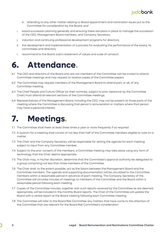- iii. attending to any other matter relating to Board appointment and nomination issues put to the Committee for consideration by the Board; and
- i. board succession planning generally and ensuring there are plans in place to manage the succession of the CEO, Management Board members, and Company Secretary;
- j. induction and continuing professional development programs for directors;
- k. the development and implementation of a process for evaluating the performance of the board, its committees and directors;
- l. recommend to the Board Judo's statement of values and code of conduct.

#### <span id="page-4-0"></span>**6. Attendance.**

- 6.1 The CEO and directors of the Board who are not members of the Committee can be invited to attend Committee meetings and may request to receive copies of the Committee papers.
- 6.2 The Committee may request members of the Management Board to attend part, or all, of any Committee meeting.
- 6.3 The Chief People and Culture Officer (or their nominee, subject to prior clearance by the Committee Chair) must attend all relevant sections of the Committee meetings.
- 6.4 Representatives of the Management Board, including the CEO, may not be present at those parts of the meeting where the Committee is discussing that person's remuneration or matters where that person may have a personal interest.

### <span id="page-4-1"></span>**7. Meetings.**

- 7.1 The Committee shall meet at least three times a year or more frequently if so required.
- 7.2 A quorum for a meeting shall consist of not less than half of the Committee members eligible to vote on a matter.
- 7.3 The Chair and the Company Secretary will be responsible for setting the agenda for each meeting subject to input from any Committee member.
- 7.4 Subject to the prior consent of the members, a Committee meeting may take place using any form of technology that the Chair deems appropriate.
- 7.5 The Chair may, in his/her discretion, determine that the Committee's approval authority be delegated to a group comprising not less than three members of the Committee.
- 7.6 The Chair shall, to the extent possible, act as the liaison between the Management Board and the Committee members. The agenda and supporting documentation will be circulated to the Committee members within a reasonable period in advance of each meeting. The Company Secretary of the Committee will circulate minutes of meetings to members of the Committee and the Board within a reasonable period following each meeting.
- 7.7 Copies of the Committee minutes, together with such reports received by the Committee as are deemed appropriate, will be included in the monthly Board reports. The Chair of the Committee will update the Board with a verbal report at the Board meeting following each Committee meeting.
- 7.8 The Committee will refer to the Board Risk Committee any matters that have come to the attention of the Committee that are relevant for the Board Risk Committee's consideration.